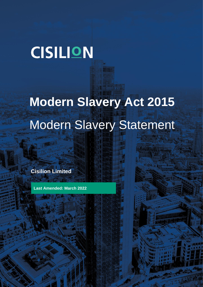## **CISILION**

# **Modern Slavery Act 2015** Modern Slavery Statement

**Cisilion Limited**

**Last Amended: March 2022**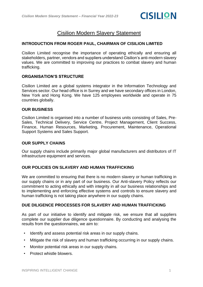### Cisilion Modern Slavery Statement

#### **INTRODUCTION FROM ROGER PAUL, CHAIRMAN OF CISILION LIMITED**

Cisilion Limited recognise the importance of operating ethically and ensuring all stakeholders, partner, vendors and suppliers understand Cisilion's anti-modern slavery values. We are committed to improving our practices to combat slavery and human trafficking.

#### **ORGANISATION'S STRUCTURE**

Cisilion Limited are a global systems integrator in the Information Technology and Services sector. Our head office is in Surrey and we have secondary offices in London, New York and Hong Kong. We have 125 employees worldwide and operate in 75 countries globally.

#### **OUR BUSINESS**

Cisilion Limited is organised into a number of business units consisting of Sales, Pre-Sales, Technical Delivery, Service Centre, Project Management, Client Success, Finance, Human Resources, Marketing, Procurement, Maintenance, Operational Support Systems and Sales Support.

#### **OUR SUPPLY CHAINS**

Our supply chains include primarily major global manufacturers and distributors of IT infrastructure equipment and services.

#### **OUR POLICIES ON SLAVERY AND HUMAN TRAFFICKING**

We are committed to ensuring that there is no modern slavery or human trafficking in our supply chains or in any part of our business. Our Anti-slavery Policy reflects our commitment to acting ethically and with integrity in all our business relationships and to implementing and enforcing effective systems and controls to ensure slavery and human trafficking is not taking place anywhere in our supply chains.

#### **DUE DILIGENCE PROCESSES FOR SLAVERY AND HUMAN TRAFFICKING**

As part of our initiative to identify and mitigate risk, we ensure that all suppliers complete our supplier due diligence questionnaire. By conducting and analysing the results from the questionnaires, we aim to:

- Identify and assess potential risk areas in our supply chains.
- Mitigate the risk of slavery and human trafficking occurring in our supply chains.
- Monitor potential risk areas in our supply chains.
- Protect whistle blowers.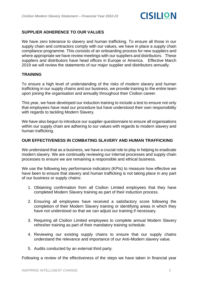

#### **SUPPLIER ADHERENCE TO OUR VALUES**

We have zero tolerance to slavery and human trafficking. To ensure all those in our supply chain and contractors comply with our values, we have in place a supply chain compliance programme. This consists of an onboarding process for new suppliers and where appropriate we have review meetings with our suppliers and distributors. These suppliers and distributors have head offices in Europe or America. Effective March 2019 we will review the statements of our major supplier and distributors annually.

#### **TRAINING**

To ensure a high level of understanding of the risks of modern slavery and human trafficking in our supply chains and our business, we provide training to the entire team upon joining the organisation and annually throughout their Cisilion career.

This year, we have developed our induction training to include a test to ensure not only that employees have read our procedure but have understood their own responsibility with regards to tackling Modern Slavery.

We have also begun to introduce our supplier questionnaire to ensure all organisations within our supply chain are adhering to our values with regards to modern slavery and human trafficking.

#### **OUR EFFECTIVENESS IN COMBATING SLAVERY AND HUMAN TRAFFICKING**

We understand that as a business, we have a crucial role to play in helping to eradicate modern slavery. We are continually reviewing our internal processes and supply chain processes to ensure we are remaining a responsible and ethical business.

We use the following key performance indicators (KPIs) to measure how effective we have been to ensure that slavery and human trafficking is not taking place in any part of our business or supply chains:

- 1. Obtaining confirmation from all Cisilion Limited employees that they have completed Modern Slavery training as part of their induction process.
- 2. Ensuring all employees have received a satisfactory score following the completion of their Modern Slavery training or identifying areas in which they have not understood so that we can adjust our training if necessary.
- 3. Requiring all Cisilion Limited employees to complete annual Modern Slavery refresher training as part of their mandatory training schedule.
- 4. Reviewing our existing supply chains to ensure that our supply chains understand the relevance and importance of our Anti-Modern slavery value.
- 5. Audits conducted by an external third party.

Following a review of the effectiveness of the steps we have taken in financial year